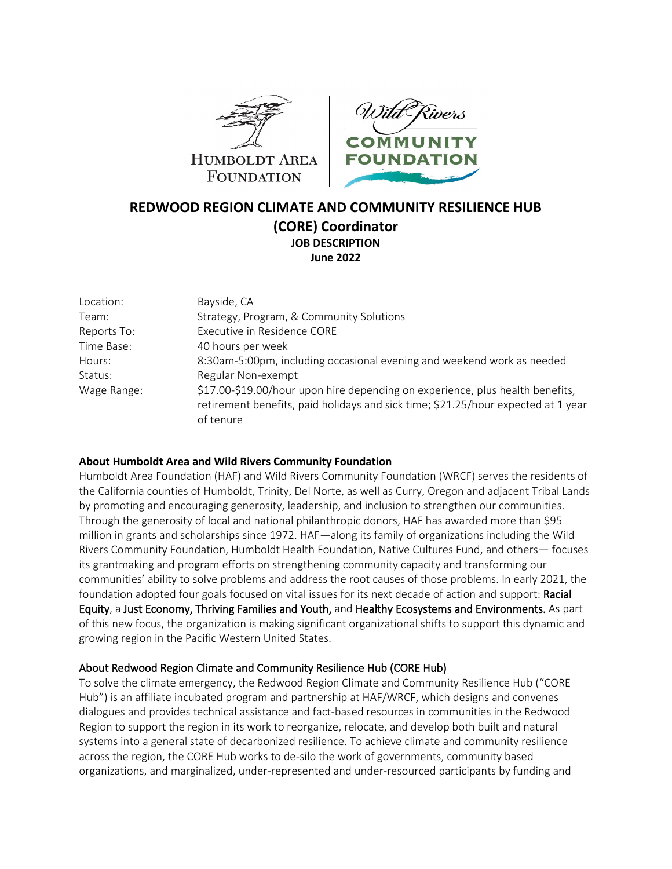



# **REDWOOD REGION CLIMATE AND COMMUNITY RESILIENCE HUB (CORE) Coordinator JOB DESCRIPTION June 2022**

| Location:   | Bayside, CA                                                                                                                                                                     |
|-------------|---------------------------------------------------------------------------------------------------------------------------------------------------------------------------------|
| Team:       | Strategy, Program, & Community Solutions                                                                                                                                        |
| Reports To: | Executive in Residence CORE                                                                                                                                                     |
| Time Base:  | 40 hours per week                                                                                                                                                               |
| Hours:      | 8:30am-5:00pm, including occasional evening and weekend work as needed                                                                                                          |
| Status:     | Regular Non-exempt                                                                                                                                                              |
| Wage Range: | \$17.00-\$19.00/hour upon hire depending on experience, plus health benefits,<br>retirement benefits, paid holidays and sick time; \$21.25/hour expected at 1 year<br>of tenure |

### **About Humboldt Area and Wild Rivers Community Foundation**

Humboldt Area Foundation (HAF) and Wild Rivers Community Foundation (WRCF) serves the residents of the California counties of Humboldt, Trinity, Del Norte, as well as Curry, Oregon and adjacent Tribal Lands by promoting and encouraging generosity, leadership, and inclusion to strengthen our communities. Through the generosity of local and national philanthropic donors, HAF has awarded more than \$95 million in grants and scholarships since 1972. HAF—along its family of organizations including the Wild Rivers Community Foundation, Humboldt Health Foundation, Native Cultures Fund, and others— focuses its grantmaking and program efforts on strengthening community capacity and transforming our communities' ability to solve problems and address the root causes of those problems. In early 2021, the foundation adopted four goals focused on vital issues for its next decade of action and support: Racial Equity, a Just Economy, Thriving Families and Youth, and Healthy Ecosystems and Environments. As part of this new focus, the organization is making significant organizational shifts to support this dynamic and growing region in the Pacific Western United States.

# About Redwood Region Climate and Community Resilience Hub (CORE Hub)

To solve the climate emergency, the Redwood Region Climate and Community Resilience Hub ("CORE Hub") is an affiliate incubated program and partnership at HAF/WRCF, which designs and convenes dialogues and provides technical assistance and fact-based resources in communities in the Redwood Region to support the region in its work to reorganize, relocate, and develop both built and natural systems into a general state of decarbonized resilience. To achieve climate and community resilience across the region, the CORE Hub works to de-silo the work of governments, community based organizations, and marginalized, under-represented and under-resourced participants by funding and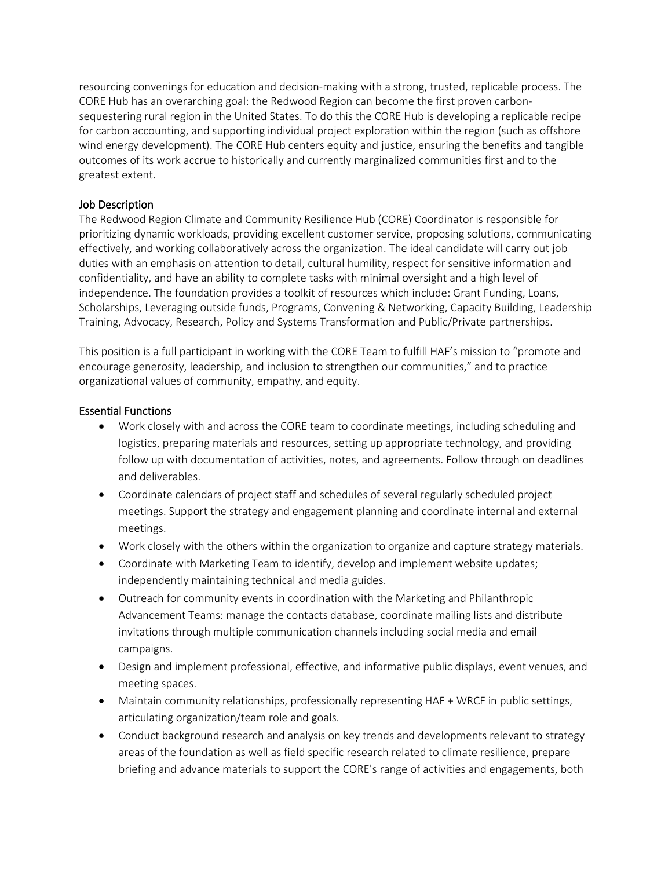resourcing convenings for education and decision-making with a strong, trusted, replicable process. The CORE Hub has an overarching goal: the Redwood Region can become the first proven carbonsequestering rural region in the United States. To do this the CORE Hub is developing a replicable recipe for carbon accounting, and supporting individual project exploration within the region (such as offshore wind energy development). The CORE Hub centers equity and justice, ensuring the benefits and tangible outcomes of its work accrue to historically and currently marginalized communities first and to the greatest extent.

## Job Description

The Redwood Region Climate and Community Resilience Hub (CORE) Coordinator is responsible for prioritizing dynamic workloads, providing excellent customer service, proposing solutions, communicating effectively, and working collaboratively across the organization. The ideal candidate will carry out job duties with an emphasis on attention to detail, cultural humility, respect for sensitive information and confidentiality, and have an ability to complete tasks with minimal oversight and a high level of independence. The foundation provides a toolkit of resources which include: Grant Funding, Loans, Scholarships, Leveraging outside funds, Programs, Convening & Networking, Capacity Building, Leadership Training, Advocacy, Research, Policy and Systems Transformation and Public/Private partnerships.

This position is a full participant in working with the CORE Team to fulfill HAF's mission to "promote and encourage generosity, leadership, and inclusion to strengthen our communities," and to practice organizational values of community, empathy, and equity.

## Essential Functions

- Work closely with and across the CORE team to coordinate meetings, including scheduling and logistics, preparing materials and resources, setting up appropriate technology, and providing follow up with documentation of activities, notes, and agreements. Follow through on deadlines and deliverables.
- Coordinate calendars of project staff and schedules of several regularly scheduled project meetings. Support the strategy and engagement planning and coordinate internal and external meetings.
- Work closely with the others within the organization to organize and capture strategy materials.
- Coordinate with Marketing Team to identify, develop and implement website updates; independently maintaining technical and media guides.
- Outreach for community events in coordination with the Marketing and Philanthropic Advancement Teams: manage the contacts database, coordinate mailing lists and distribute invitations through multiple communication channels including social media and email campaigns.
- Design and implement professional, effective, and informative public displays, event venues, and meeting spaces.
- Maintain community relationships, professionally representing HAF + WRCF in public settings, articulating organization/team role and goals.
- Conduct background research and analysis on key trends and developments relevant to strategy areas of the foundation as well as field specific research related to climate resilience, prepare briefing and advance materials to support the CORE's range of activities and engagements, both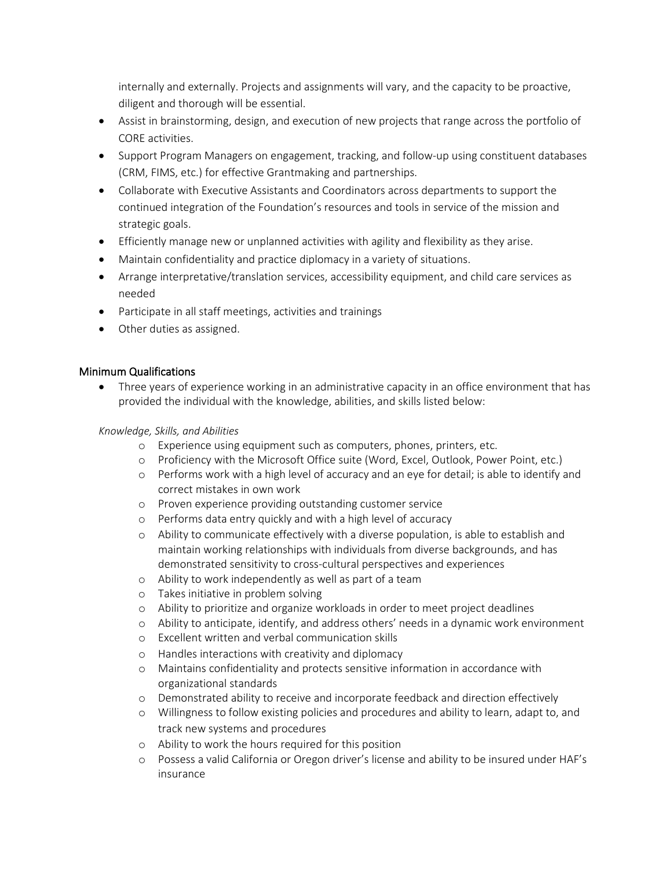internally and externally. Projects and assignments will vary, and the capacity to be proactive, diligent and thorough will be essential.

- Assist in brainstorming, design, and execution of new projects that range across the portfolio of CORE activities.
- Support Program Managers on engagement, tracking, and follow-up using constituent databases (CRM, FIMS, etc.) for effective Grantmaking and partnerships.
- Collaborate with Executive Assistants and Coordinators across departments to support the continued integration of the Foundation's resources and tools in service of the mission and strategic goals.
- Efficiently manage new or unplanned activities with agility and flexibility as they arise.
- Maintain confidentiality and practice diplomacy in a variety of situations.
- Arrange interpretative/translation services, accessibility equipment, and child care services as needed
- Participate in all staff meetings, activities and trainings
- Other duties as assigned.

# Minimum Qualifications

• Three years of experience working in an administrative capacity in an office environment that has provided the individual with the knowledge, abilities, and skills listed below:

## *Knowledge, Skills, and Abilities*

- o Experience using equipment such as computers, phones, printers, etc.
- o Proficiency with the Microsoft Office suite (Word, Excel, Outlook, Power Point, etc.)
- o Performs work with a high level of accuracy and an eye for detail; is able to identify and correct mistakes in own work
- o Proven experience providing outstanding customer service
- o Performs data entry quickly and with a high level of accuracy
- o Ability to communicate effectively with a diverse population, is able to establish and maintain working relationships with individuals from diverse backgrounds, and has demonstrated sensitivity to cross-cultural perspectives and experiences
- o Ability to work independently as well as part of a team
- o Takes initiative in problem solving
- o Ability to prioritize and organize workloads in order to meet project deadlines
- o Ability to anticipate, identify, and address others' needs in a dynamic work environment
- o Excellent written and verbal communication skills
- o Handles interactions with creativity and diplomacy
- o Maintains confidentiality and protects sensitive information in accordance with organizational standards
- o Demonstrated ability to receive and incorporate feedback and direction effectively
- o Willingness to follow existing policies and procedures and ability to learn, adapt to, and track new systems and procedures
- o Ability to work the hours required for this position
- o Possess a valid California or Oregon driver's license and ability to be insured under HAF's insurance